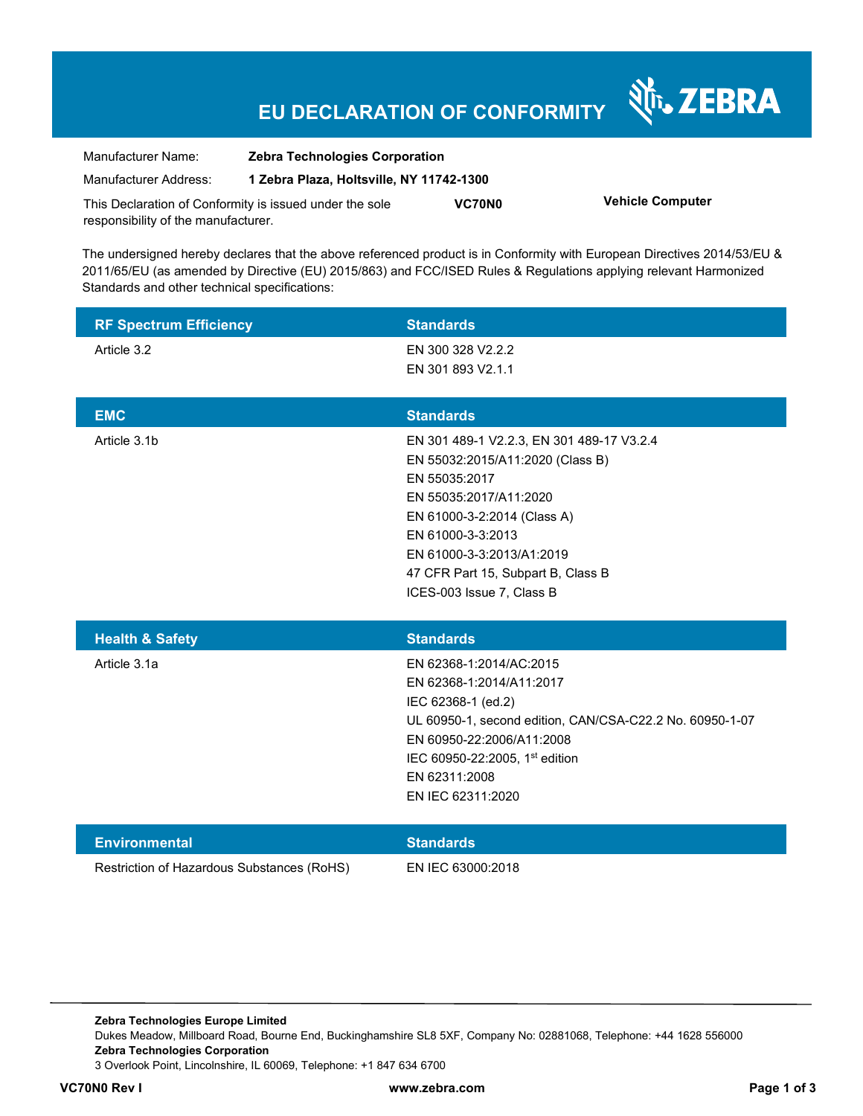## **EU DECLARATION OF CONFORMITY**

Nr. ZEBRA

| Manufacturer Name:                                      | <b>Zebra Technologies Corporation</b>    |               |                         |
|---------------------------------------------------------|------------------------------------------|---------------|-------------------------|
| Manufacturer Address:                                   | 1 Zebra Plaza, Holtsville, NY 11742-1300 |               |                         |
| This Declaration of Conformity is issued under the sole |                                          | <b>VC70N0</b> | <b>Vehicle Computer</b> |
| responsibility of the manufacturer.                     |                                          |               |                         |

The undersigned hereby declares that the above referenced product is in Conformity with European Directives 2014/53/EU & 2011/65/EU (as amended by Directive (EU) 2015/863) and FCC/ISED Rules & Regulations applying relevant Harmonized Standards and other technical specifications:

| <b>RF Spectrum Efficiency</b> | <b>Standards</b>                                                                                                                                                                                                                                                             |
|-------------------------------|------------------------------------------------------------------------------------------------------------------------------------------------------------------------------------------------------------------------------------------------------------------------------|
| Article 3.2                   | EN 300 328 V2.2.2                                                                                                                                                                                                                                                            |
|                               | EN 301 893 V2.1.1                                                                                                                                                                                                                                                            |
| <b>EMC</b>                    | <b>Standards</b>                                                                                                                                                                                                                                                             |
| Article 3.1b                  | EN 301 489-1 V2.2.3, EN 301 489-17 V3.2.4<br>EN 55032:2015/A11:2020 (Class B)<br>EN 55035:2017<br>EN 55035:2017/A11:2020<br>EN 61000-3-2:2014 (Class A)<br>EN 61000-3-3:2013<br>EN 61000-3-3:2013/A1:2019<br>47 CFR Part 15, Subpart B, Class B<br>ICES-003 Issue 7, Class B |
|                               |                                                                                                                                                                                                                                                                              |
| <b>Health &amp; Safety</b>    | <b>Standards</b>                                                                                                                                                                                                                                                             |
| Article 3.1a                  | EN 62368-1:2014/AC:2015<br>EN 62368-1:2014/A11:2017<br>IEC 62368-1 (ed.2)<br>UL 60950-1, second edition, CAN/CSA-C22.2 No. 60950-1-07<br>EN 60950-22:2006/A11:2008<br>IEC 60950-22:2005, 1st edition<br>EN 62311:2008<br>EN IEC 62311:2020                                   |
| <b>Environmental</b>          | <b>Standards</b>                                                                                                                                                                                                                                                             |

**Zebra Technologies Europe Limited**  Dukes Meadow, Millboard Road, Bourne End, Buckinghamshire SL8 5XF, Company No: 02881068, Telephone: +44 1628 556000 **Zebra Technologies Corporation**  3 Overlook Point, Lincolnshire, IL 60069, Telephone: +1 847 634 6700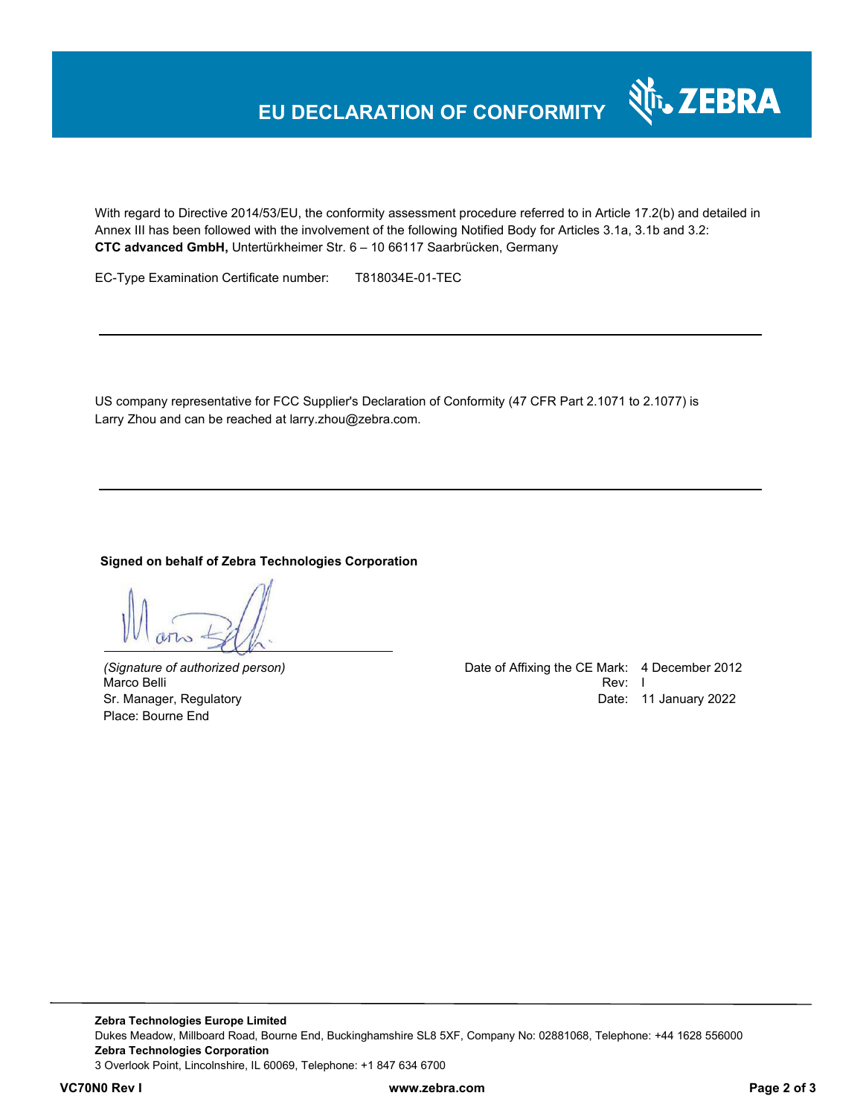With regard to Directive 2014/53/EU, the conformity assessment procedure referred to in Article 17.2(b) and detailed in Annex III has been followed with the involvement of the following Notified Body for Articles 3.1a, 3.1b and 3.2: **CTC advanced GmbH,** Untertürkheimer Str. 6 – 10 66117 Saarbrücken, Germany

EC-Type Examination Certificate number: T818034E-01-TEC

US company representative for FCC Supplier's Declaration of Conformity (47 CFR Part 2.1071 to 2.1077) is Larry Zhou and can be reached at larry.zhou@zebra.com.

#### **Signed on behalf of Zebra Technologies Corporation**

Marco Belli Place: Bourne End

*(Signature of authorized person)* Date of Affixing the CE Mark: 4 December 2012 Sr. Manager, Regulatory Date: 11 January 2022

र्शे<sub>ि</sub> ZEBRA

**Zebra Technologies Europe Limited**  Dukes Meadow, Millboard Road, Bourne End, Buckinghamshire SL8 5XF, Company No: 02881068, Telephone: +44 1628 556000 **Zebra Technologies Corporation**  3 Overlook Point, Lincolnshire, IL 60069, Telephone: +1 847 634 6700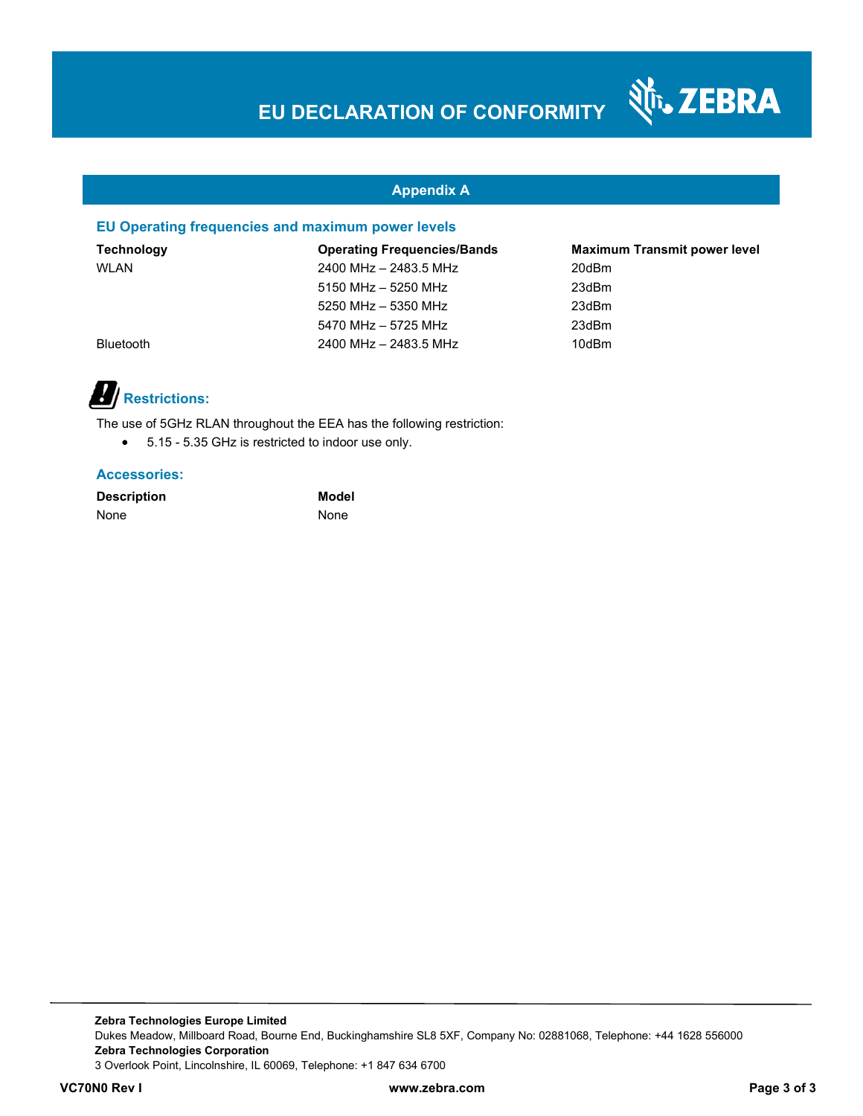Nr. ZEBRA

### **Appendix A**

### **EU Operating frequencies and maximum power levels**

| <b>Technology</b> | <b>Operating Frequencies/Bands</b> | <b>Maximum Transmit power level</b> |
|-------------------|------------------------------------|-------------------------------------|
| <b>WLAN</b>       | 2400 MHz - 2483.5 MHz              | 20dBm                               |
|                   | 5150 MHz - 5250 MHz                | 23dBm                               |
|                   | 5250 MHz - 5350 MHz                | 23dBm                               |
|                   | 5470 MHz - 5725 MHz                | 23dBm                               |
| <b>Bluetooth</b>  | 2400 MHz - 2483.5 MHz              | 10dBm                               |

# *Restrictions:*

The use of 5GHz RLAN throughout the EEA has the following restriction:

5.15 - 5.35 GHz is restricted to indoor use only.

#### **Accessories:**

| <b>Description</b> |  |
|--------------------|--|
| None               |  |

**Model None** 

**Zebra Technologies Europe Limited**  Dukes Meadow, Millboard Road, Bourne End, Buckinghamshire SL8 5XF, Company No: 02881068, Telephone: +44 1628 556000 **Zebra Technologies Corporation**  3 Overlook Point, Lincolnshire, IL 60069, Telephone: +1 847 634 6700